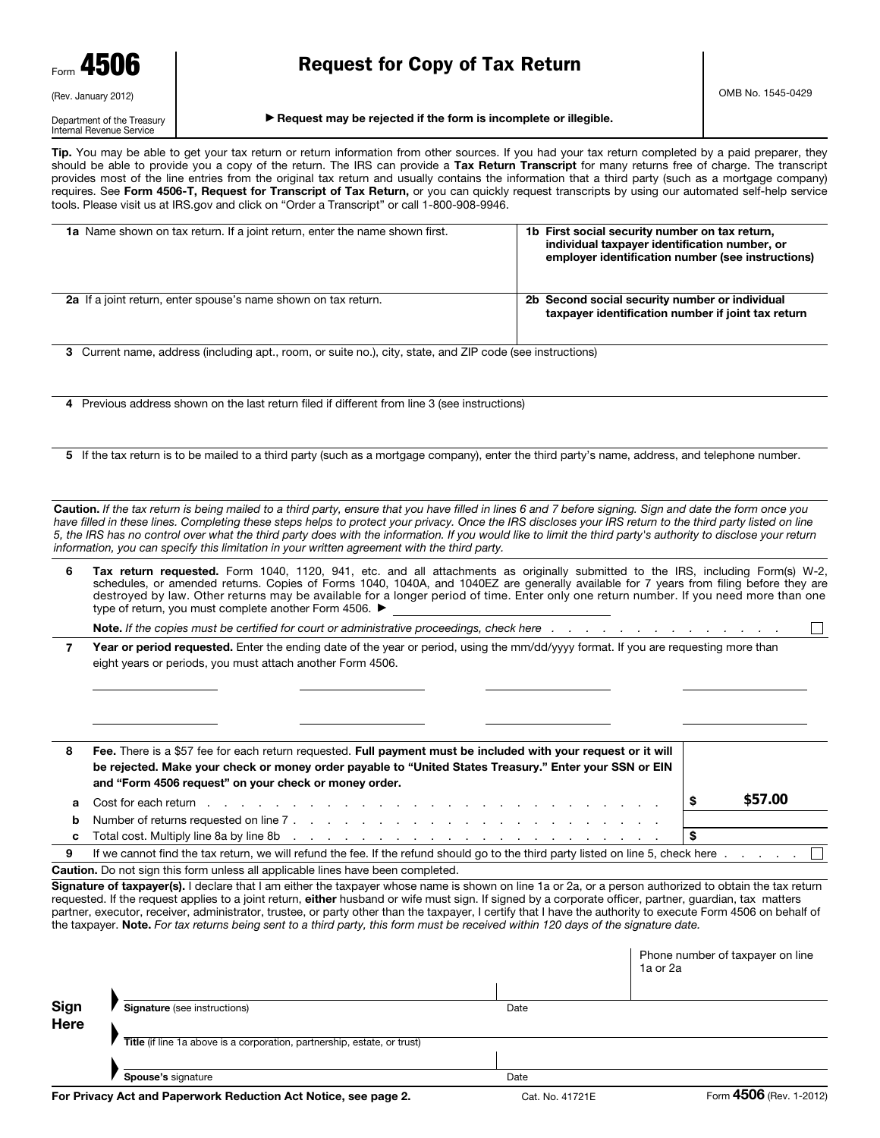| Form 4506           |  |
|---------------------|--|
| (Rev. January 2012) |  |

Department of the Treasury Internal Revenue Service

# Request for Copy of Tax Return

▶ Request may be rejected if the form is incomplete or illegible.

Tip. You may be able to get your tax return or return information from other sources. If you had your tax return completed by a paid preparer, they should be able to provide you a copy of the return. The IRS can provide a Tax Return Transcript for many returns free of charge. The transcript provides most of the line entries from the original tax return and usually contains the information that a third party (such as a mortgage company) requires. See Form 4506-T, Request for Transcript of Tax Return, or you can quickly request transcripts by using our automated self-help service tools. Please visit us at IRS.gov and click on "Order a Transcript" or call 1-800-908-9946.

| <b>1a</b> Name shown on tax return. If a joint return, enter the name shown first.                         | 1b First social security number on tax return,<br>individual taxpayer identification number, or<br>employer identification number (see instructions) |
|------------------------------------------------------------------------------------------------------------|------------------------------------------------------------------------------------------------------------------------------------------------------|
| 2a If a joint return, enter spouse's name shown on tax return.                                             | 2b Second social security number or individual<br>taxpayer identification number if joint tax return                                                 |
| 3 Current name, address (including apt., room, or suite no.), city, state, and ZIP code (see instructions) |                                                                                                                                                      |

4 Previous address shown on the last return filed if different from line 3 (see instructions)

5 If the tax return is to be mailed to a third party (such as a mortgage company), enter the third party's name, address, and telephone number.

Caution. *If the tax return is being mailed to a third party, ensure that you have filled in lines 6 and 7 before signing. Sign and date the form once you*  have filled in these lines. Completing these steps helps to protect your privacy. Once the IRS discloses your IRS return to the third party listed on line *5, the IRS has no control over what the third party does with the information. If you would like to limit the third party's authority to disclose your return information, you can specify this limitation in your written agreement with the third party.*

6 Tax return requested. Form 1040, 1120, 941, etc. and all attachments as originally submitted to the IRS, including Form(s) W-2, schedules, or amended returns. Copies of Forms 1040, 1040A, and 1040EZ are generally available for 7 years from filing before they are destroyed by law. Other returns may be available for a longer period of time. Enter only one return number. If you need more than one type of return, you must complete another Form 4506. ▶

Note. *If the copies must be certified for court or administrative proceedings, check here . . . . . . . . . . . . . .*

**7** Year or period requested. Enter the ending date of the year or period, using the mm/dd/yyyy format. If you are requesting more than eight years or periods, you must attach another Form 4506.

| 8  |                                                                                                                                                                                                                               |    |         |  |  |
|----|-------------------------------------------------------------------------------------------------------------------------------------------------------------------------------------------------------------------------------|----|---------|--|--|
| a  | Cost for each return end on the cost for each property of the cost of the cost for each return end of the cost of the cost of the cost of the cost of the cost of the cost of the cost of the cost of the cost of the cost of | \$ | \$57.00 |  |  |
| b. |                                                                                                                                                                                                                               |    |         |  |  |
| C. |                                                                                                                                                                                                                               |    |         |  |  |
| 9  | If we cannot find the tax return, we will refund the fee. If the refund should go to the third party listed on line 5, check here □                                                                                           |    |         |  |  |

Caution. Do not sign this form unless all applicable lines have been completed.

Signature of taxpayer(s). I declare that I am either the taxpayer whose name is shown on line 1a or 2a, or a person authorized to obtain the tax return requested. If the request applies to a joint return, either husband or wife must sign. If signed by a corporate officer, partner, quardian, tax matters partner, executor, receiver, administrator, trustee, or party other than the taxpayer, I certify that I have the authority to execute Form 4506 on behalf of the taxpayer. Note. *For tax returns being sent to a third party, this form must be received within 120 days of the signature date.*

|      |                                                                          |      | Phone number of taxpayer on line<br>1a or 2a |  |  |  |  |
|------|--------------------------------------------------------------------------|------|----------------------------------------------|--|--|--|--|
|      |                                                                          |      |                                              |  |  |  |  |
| Sign | <b>Signature</b> (see instructions)                                      | Date |                                              |  |  |  |  |
| Here |                                                                          |      |                                              |  |  |  |  |
|      | Title (if line 1a above is a corporation, partnership, estate, or trust) |      |                                              |  |  |  |  |
|      |                                                                          |      |                                              |  |  |  |  |
|      | Spouse's signature                                                       | Date |                                              |  |  |  |  |

 $\perp$